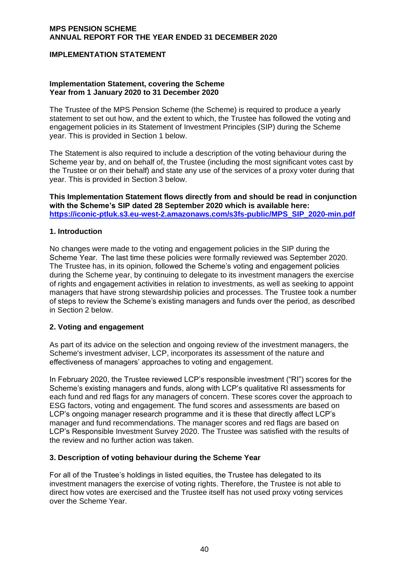## **IMPLEMENTATION STATEMENT**

#### **Implementation Statement, covering the Scheme Year from 1 January 2020 to 31 December 2020**

The Trustee of the MPS Pension Scheme (the Scheme) is required to produce a yearly statement to set out how, and the extent to which, the Trustee has followed the voting and engagement policies in its Statement of Investment Principles (SIP) during the Scheme year. This is provided in Section 1 below.

The Statement is also required to include a description of the voting behaviour during the Scheme year by, and on behalf of, the Trustee (including the most significant votes cast by the Trustee or on their behalf) and state any use of the services of a proxy voter during that year. This is provided in Section 3 below.

**This Implementation Statement flows directly from and should be read in conjunction with the Scheme's SIP dated 28 September 2020 which is available here: [https://iconic-ptluk.s3.eu-west-2.amazonaws.com/s3fs-public/MPS\\_SIP\\_2020-min.pdf](https://iconic-ptluk.s3.eu-west-2.amazonaws.com/s3fs-public/MPS_SIP_2020-min.pdf)**

#### **1. Introduction**

No changes were made to the voting and engagement policies in the SIP during the Scheme Year.  The last time these policies were formally reviewed was September 2020. The Trustee has, in its opinion, followed the Scheme's voting and engagement policies during the Scheme year, by continuing to delegate to its investment managers the exercise of rights and engagement activities in relation to investments, as well as seeking to appoint managers that have strong stewardship policies and processes. The Trustee took a number of steps to review the Scheme's existing managers and funds over the period, as described in Section 2 below.

#### **2. Voting and engagement**

As part of its advice on the selection and ongoing review of the investment managers, the Scheme's investment adviser, LCP, incorporates its assessment of the nature and effectiveness of managers' approaches to voting and engagement.

In February 2020, the Trustee reviewed LCP's responsible investment ("RI") scores for the Scheme's existing managers and funds, along with LCP's qualitative RI assessments for each fund and red flags for any managers of concern. These scores cover the approach to ESG factors, voting and engagement. The fund scores and assessments are based on LCP's ongoing manager research programme and it is these that directly affect LCP's manager and fund recommendations. The manager scores and red flags are based on LCP's Responsible Investment Survey 2020. The Trustee was satisfied with the results of the review and no further action was taken.

#### **3. Description of voting behaviour during the Scheme Year**

For all of the Trustee's holdings in listed equities, the Trustee has delegated to its investment managers the exercise of voting rights. Therefore, the Trustee is not able to direct how votes are exercised and the Trustee itself has not used proxy voting services over the Scheme Year.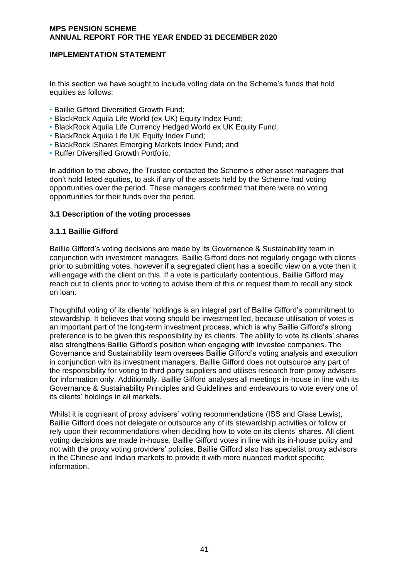# **IMPLEMENTATION STATEMENT**

In this section we have sought to include voting data on the Scheme's funds that hold equities as follows:

- Baillie Gifford Diversified Growth Fund;
- BlackRock Aquila Life World (ex-UK) Equity Index Fund;
- BlackRock Aquila Life Currency Hedged World ex UK Equity Fund;
- BlackRock Aquila Life UK Equity Index Fund;
- BlackRock iShares Emerging Markets Index Fund; and
- Ruffer Diversified Growth Portfolio.

In addition to the above, the Trustee contacted the Scheme's other asset managers that don't hold listed equities, to ask if any of the assets held by the Scheme had voting opportunities over the period. These managers confirmed that there were no voting opportunities for their funds over the period.

### **3.1 Description of the voting processes**

### **3.1.1 Baillie Gifford**

Baillie Gifford's voting decisions are made by its Governance & Sustainability team in conjunction with investment managers. Baillie Gifford does not regularly engage with clients prior to submitting votes, however if a segregated client has a specific view on a vote then it will engage with the client on this. If a vote is particularly contentious, Baillie Gifford may reach out to clients prior to voting to advise them of this or request them to recall any stock on loan.

Thoughtful voting of its clients' holdings is an integral part of Baillie Gifford's commitment to stewardship. It believes that voting should be investment led, because utilisation of votes is an important part of the long-term investment process, which is why Baillie Gifford's strong preference is to be given this responsibility by its clients. The ability to vote its clients' shares also strengthens Baillie Gifford's position when engaging with investee companies. The Governance and Sustainability team oversees Baillie Gifford's voting analysis and execution in conjunction with its investment managers. Baillie Gifford does not outsource any part of the responsibility for voting to third-party suppliers and utilises research from proxy advisers for information only. Additionally, Baillie Gifford analyses all meetings in-house in line with its Governance & Sustainability Principles and Guidelines and endeavours to vote every one of its clients' holdings in all markets.

Whilst it is cognisant of proxy advisers' voting recommendations (ISS and Glass Lewis), Baillie Gifford does not delegate or outsource any of its stewardship activities or follow or rely upon their recommendations when deciding how to vote on its clients' shares. All client voting decisions are made in-house. Baillie Gifford votes in line with its in-house policy and not with the proxy voting providers' policies. Baillie Gifford also has specialist proxy advisors in the Chinese and Indian markets to provide it with more nuanced market specific information.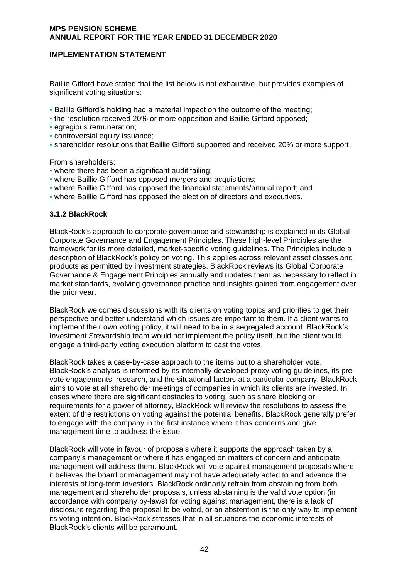# **IMPLEMENTATION STATEMENT**

Baillie Gifford have stated that the list below is not exhaustive, but provides examples of significant voting situations:

- Baillie Gifford's holding had a material impact on the outcome of the meeting;
- the resolution received 20% or more opposition and Baillie Gifford opposed;
- **· egregious remuneration:**
- controversial equity issuance;
- shareholder resolutions that Baillie Gifford supported and received 20% or more support.

From shareholders;

- where there has been a significant audit failing;
- where Baillie Gifford has opposed mergers and acquisitions;
- where Baillie Gifford has opposed the financial statements/annual report; and
- where Baillie Gifford has opposed the election of directors and executives.

### **3.1.2 BlackRock**

BlackRock's approach to corporate governance and stewardship is explained in its Global Corporate Governance and Engagement Principles. These high-level Principles are the framework for its more detailed, market-specific voting guidelines. The Principles include a description of BlackRock's policy on voting. This applies across relevant asset classes and products as permitted by investment strategies. BlackRock reviews its Global Corporate Governance & Engagement Principles annually and updates them as necessary to reflect in market standards, evolving governance practice and insights gained from engagement over the prior year.

BlackRock welcomes discussions with its clients on voting topics and priorities to get their perspective and better understand which issues are important to them. If a client wants to implement their own voting policy, it will need to be in a segregated account. BlackRock's Investment Stewardship team would not implement the policy itself, but the client would engage a third-party voting execution platform to cast the votes.

BlackRock takes a case-by-case approach to the items put to a shareholder vote. BlackRock's analysis is informed by its internally developed proxy voting guidelines, its prevote engagements, research, and the situational factors at a particular company. BlackRock aims to vote at all shareholder meetings of companies in which its clients are invested. In cases where there are significant obstacles to voting, such as share blocking or requirements for a power of attorney, BlackRock will review the resolutions to assess the extent of the restrictions on voting against the potential benefits. BlackRock generally prefer to engage with the company in the first instance where it has concerns and give management time to address the issue.

BlackRock will vote in favour of proposals where it supports the approach taken by a company's management or where it has engaged on matters of concern and anticipate management will address them. BlackRock will vote against management proposals where it believes the board or management may not have adequately acted to and advance the interests of long-term investors. BlackRock ordinarily refrain from abstaining from both management and shareholder proposals, unless abstaining is the valid vote option (in accordance with company by-laws) for voting against management, there is a lack of disclosure regarding the proposal to be voted, or an abstention is the only way to implement its voting intention. BlackRock stresses that in all situations the economic interests of BlackRock's clients will be paramount.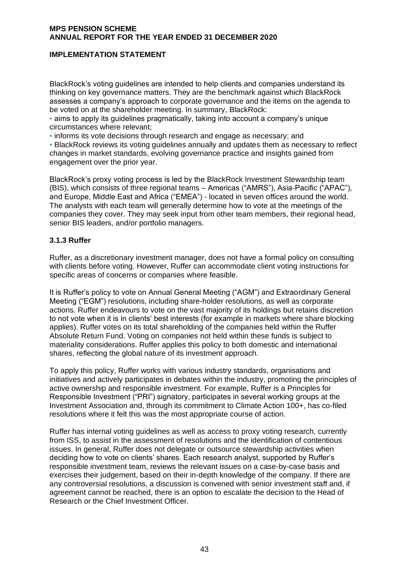# **IMPLEMENTATION STATEMENT**

BlackRock's voting guidelines are intended to help clients and companies understand its thinking on key governance matters. They are the benchmark against which BlackRock assesses a company's approach to corporate governance and the items on the agenda to be voted on at the shareholder meeting. In summary, BlackRock:

▪ aims to apply its guidelines pragmatically, taking into account a company's unique circumstances where relevant;

▪ informs its vote decisions through research and engage as necessary; and

**• BlackRock reviews its voting guidelines annually and updates them as necessary to reflect** changes in market standards, evolving governance practice and insights gained from engagement over the prior year.

BlackRock's proxy voting process is led by the BlackRock Investment Stewardship team (BIS), which consists of three regional teams – Americas ("AMRS"), Asia-Pacific ("APAC"), and Europe, Middle East and Africa ("EMEA") - located in seven offices around the world. The analysts with each team will generally determine how to vote at the meetings of the companies they cover. They may seek input from other team members, their regional head, senior BIS leaders, and/or portfolio managers.

# **3.1.3 Ruffer**

Ruffer, as a discretionary investment manager, does not have a formal policy on consulting with clients before voting. However, Ruffer can accommodate client voting instructions for specific areas of concerns or companies where feasible.

It is Ruffer's policy to vote on Annual General Meeting ("AGM") and Extraordinary General Meeting ("EGM") resolutions, including share-holder resolutions, as well as corporate actions. Ruffer endeavours to vote on the vast majority of its holdings but retains discretion to not vote when it is in clients' best interests (for example in markets where share blocking applies). Ruffer votes on its total shareholding of the companies held within the Ruffer Absolute Return Fund. Voting on companies not held within these funds is subject to materiality considerations. Ruffer applies this policy to both domestic and international shares, reflecting the global nature of its investment approach.

To apply this policy, Ruffer works with various industry standards, organisations and initiatives and actively participates in debates within the industry, promoting the principles of active ownership and responsible investment. For example, Ruffer is a Principles for Responsible Investment ("PRI") signatory, participates in several working groups at the Investment Association and, through its commitment to Climate Action 100+, has co-filed resolutions where it felt this was the most appropriate course of action.

Ruffer has internal voting guidelines as well as access to proxy voting research, currently from ISS, to assist in the assessment of resolutions and the identification of contentious issues. In general, Ruffer does not delegate or outsource stewardship activities when deciding how to vote on clients' shares. Each research analyst, supported by Ruffer's responsible investment team, reviews the relevant issues on a case-by-case basis and exercises their judgement, based on their in-depth knowledge of the company. If there are any controversial resolutions, a discussion is convened with senior investment staff and, if agreement cannot be reached, there is an option to escalate the decision to the Head of Research or the Chief Investment Officer.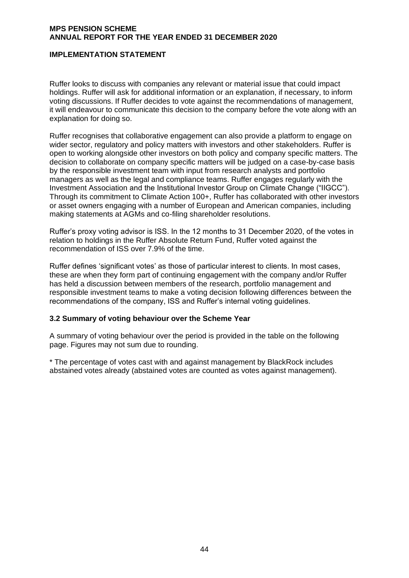## **IMPLEMENTATION STATEMENT**

Ruffer looks to discuss with companies any relevant or material issue that could impact holdings. Ruffer will ask for additional information or an explanation, if necessary, to inform voting discussions. If Ruffer decides to vote against the recommendations of management, it will endeavour to communicate this decision to the company before the vote along with an explanation for doing so.

Ruffer recognises that collaborative engagement can also provide a platform to engage on wider sector, regulatory and policy matters with investors and other stakeholders. Ruffer is open to working alongside other investors on both policy and company specific matters. The decision to collaborate on company specific matters will be judged on a case-by-case basis by the responsible investment team with input from research analysts and portfolio managers as well as the legal and compliance teams. Ruffer engages regularly with the Investment Association and the Institutional Investor Group on Climate Change ("IIGCC"). Through its commitment to Climate Action 100+, Ruffer has collaborated with other investors or asset owners engaging with a number of European and American companies, including making statements at AGMs and co-filing shareholder resolutions.

Ruffer's proxy voting advisor is ISS. In the 12 months to 31 December 2020, of the votes in relation to holdings in the Ruffer Absolute Return Fund, Ruffer voted against the recommendation of ISS over 7.9% of the time.

Ruffer defines 'significant votes' as those of particular interest to clients. In most cases, these are when they form part of continuing engagement with the company and/or Ruffer has held a discussion between members of the research, portfolio management and responsible investment teams to make a voting decision following differences between the recommendations of the company, ISS and Ruffer's internal voting guidelines.

#### **3.2 Summary of voting behaviour over the Scheme Year**

A summary of voting behaviour over the period is provided in the table on the following page. Figures may not sum due to rounding.

\* The percentage of votes cast with and against management by BlackRock includes abstained votes already (abstained votes are counted as votes against management).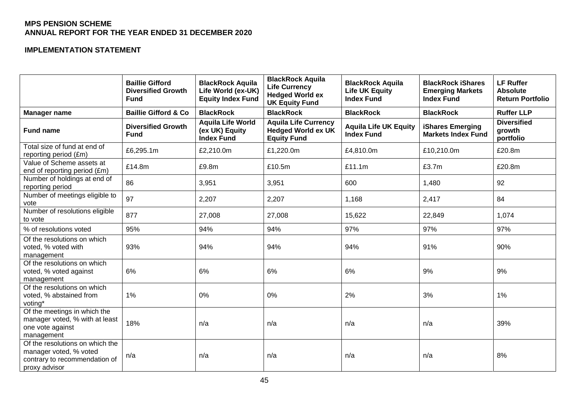# **IMPLEMENTATION STATEMENT**

|                                                                                                             | <b>Baillie Gifford</b><br><b>Diversified Growth</b><br><b>Fund</b> | <b>BlackRock Aquila</b><br>Life World (ex-UK)<br><b>Equity Index Fund</b> | <b>BlackRock Aquila</b><br><b>Life Currency</b><br><b>Hedged World ex</b><br><b>UK Equity Fund</b> | <b>BlackRock Aquila</b><br><b>Life UK Equity</b><br><b>Index Fund</b> | <b>BlackRock iShares</b><br><b>Emerging Markets</b><br><b>Index Fund</b> | <b>LF Ruffer</b><br><b>Absolute</b><br><b>Return Portfolio</b> |
|-------------------------------------------------------------------------------------------------------------|--------------------------------------------------------------------|---------------------------------------------------------------------------|----------------------------------------------------------------------------------------------------|-----------------------------------------------------------------------|--------------------------------------------------------------------------|----------------------------------------------------------------|
| <b>Manager name</b>                                                                                         | <b>Baillie Gifford &amp; Co</b>                                    | <b>BlackRock</b>                                                          | <b>BlackRock</b>                                                                                   | <b>BlackRock</b>                                                      | <b>BlackRock</b>                                                         | <b>Ruffer LLP</b>                                              |
| <b>Fund name</b>                                                                                            | <b>Diversified Growth</b><br><b>Fund</b>                           | <b>Aquila Life World</b><br>(ex UK) Equity<br><b>Index Fund</b>           | <b>Aquila Life Currency</b><br><b>Hedged World ex UK</b><br><b>Equity Fund</b>                     | <b>Aquila Life UK Equity</b><br><b>Index Fund</b>                     | <b>iShares Emerging</b><br><b>Markets Index Fund</b>                     | <b>Diversified</b><br>growth<br>portfolio                      |
| Total size of fund at end of<br>reporting period (£m)                                                       | £6,295.1m                                                          | £2,210.0m                                                                 | £1,220.0m                                                                                          | £4,810.0m                                                             | £10,210.0m                                                               | £20.8m                                                         |
| Value of Scheme assets at<br>end of reporting period (£m)                                                   | £14.8m                                                             | £9.8m                                                                     | £10.5m                                                                                             | £11.1m                                                                | £3.7m                                                                    | £20.8m                                                         |
| Number of holdings at end of<br>reporting period                                                            | 86                                                                 | 3,951                                                                     | 3,951                                                                                              | 600                                                                   | 1,480                                                                    | 92                                                             |
| Number of meetings eligible to<br>vote                                                                      | 97                                                                 | 2,207                                                                     | 2,207                                                                                              | 1,168                                                                 | 2,417                                                                    | 84                                                             |
| Number of resolutions eligible<br>to vote                                                                   | 877                                                                | 27,008                                                                    | 27,008                                                                                             | 15,622                                                                | 22,849                                                                   | 1,074                                                          |
| % of resolutions voted                                                                                      | 95%                                                                | 94%                                                                       | 94%                                                                                                | 97%                                                                   | 97%                                                                      | 97%                                                            |
| Of the resolutions on which<br>voted, % voted with<br>management                                            | 93%                                                                | 94%                                                                       | 94%                                                                                                | 94%                                                                   | 91%                                                                      | 90%                                                            |
| Of the resolutions on which<br>voted, % voted against<br>management                                         | 6%                                                                 | 6%                                                                        | 6%                                                                                                 | 6%                                                                    | 9%                                                                       | 9%                                                             |
| Of the resolutions on which<br>voted, % abstained from<br>voting*                                           | $1\%$                                                              | 0%                                                                        | 0%                                                                                                 | 2%                                                                    | 3%                                                                       | 1%                                                             |
| Of the meetings in which the<br>manager voted, % with at least<br>one vote against<br>management            | 18%                                                                | n/a                                                                       | n/a                                                                                                | n/a                                                                   | n/a                                                                      | 39%                                                            |
| Of the resolutions on which the<br>manager voted, % voted<br>contrary to recommendation of<br>proxy advisor | n/a                                                                | n/a                                                                       | n/a                                                                                                | n/a                                                                   | n/a                                                                      | 8%                                                             |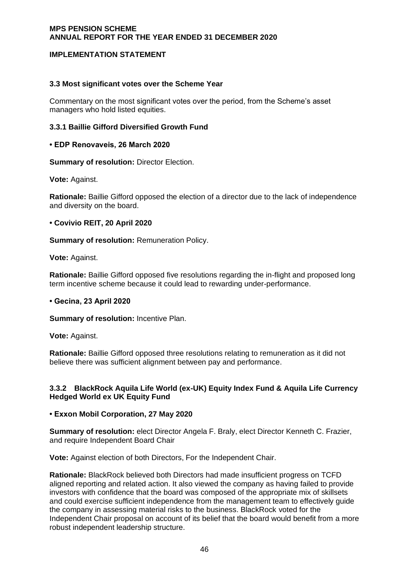# **IMPLEMENTATION STATEMENT**

## **3.3 Most significant votes over the Scheme Year**

Commentary on the most significant votes over the period, from the Scheme's asset managers who hold listed equities.

## **3.3.1 Baillie Gifford Diversified Growth Fund**

### **• EDP Renovaveis, 26 March 2020**

**Summary of resolution: Director Election.** 

**Vote:** Against.

**Rationale:** Baillie Gifford opposed the election of a director due to the lack of independence and diversity on the board.

### **• Covivio REIT, 20 April 2020**

**Summary of resolution:** Remuneration Policy.

**Vote:** Against.

**Rationale:** Baillie Gifford opposed five resolutions regarding the in-flight and proposed long term incentive scheme because it could lead to rewarding under-performance.

#### **• Gecina, 23 April 2020**

**Summary of resolution: Incentive Plan.** 

**Vote:** Against.

**Rationale:** Baillie Gifford opposed three resolutions relating to remuneration as it did not believe there was sufficient alignment between pay and performance.

## **3.3.2 BlackRock Aquila Life World (ex-UK) Equity Index Fund & Aquila Life Currency Hedged World ex UK Equity Fund**

## **• Exxon Mobil Corporation, 27 May 2020**

**Summary of resolution:** elect Director Angela F. Braly, elect Director Kenneth C. Frazier, and require Independent Board Chair

**Vote:** Against election of both Directors, For the Independent Chair.

**Rationale:** BlackRock believed both Directors had made insufficient progress on TCFD aligned reporting and related action. It also viewed the company as having failed to provide investors with confidence that the board was composed of the appropriate mix of skillsets and could exercise sufficient independence from the management team to effectively guide the company in assessing material risks to the business. BlackRock voted for the Independent Chair proposal on account of its belief that the board would benefit from a more robust independent leadership structure.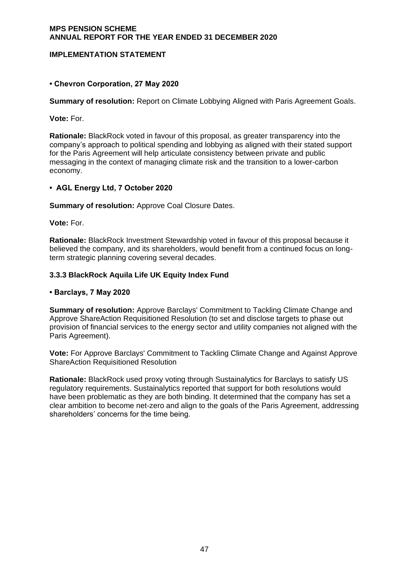# **IMPLEMENTATION STATEMENT**

# **• Chevron Corporation, 27 May 2020**

**Summary of resolution:** Report on Climate Lobbying Aligned with Paris Agreement Goals.

**Vote:** For.

**Rationale:** BlackRock voted in favour of this proposal, as greater transparency into the company's approach to political spending and lobbying as aligned with their stated support for the Paris Agreement will help articulate consistency between private and public messaging in the context of managing climate risk and the transition to a lower-carbon economy.

## **• AGL Energy Ltd, 7 October 2020**

**Summary of resolution:** Approve Coal Closure Dates.

**Vote:** For.

**Rationale:** BlackRock Investment Stewardship voted in favour of this proposal because it believed the company, and its shareholders, would benefit from a continued focus on longterm strategic planning covering several decades.

## **3.3.3 BlackRock Aquila Life UK Equity Index Fund**

### **• Barclays, 7 May 2020**

**Summary of resolution:** Approve Barclays' Commitment to Tackling Climate Change and Approve ShareAction Requisitioned Resolution (to set and disclose targets to phase out provision of financial services to the energy sector and utility companies not aligned with the Paris Agreement).

**Vote:** For Approve Barclays' Commitment to Tackling Climate Change and Against Approve ShareAction Requisitioned Resolution

**Rationale:** BlackRock used proxy voting through Sustainalytics for Barclays to satisfy US regulatory requirements. Sustainalytics reported that support for both resolutions would have been problematic as they are both binding. It determined that the company has set a clear ambition to become net-zero and align to the goals of the Paris Agreement, addressing shareholders' concerns for the time being.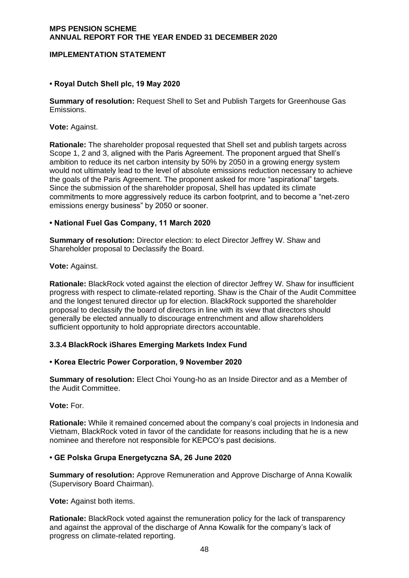## **IMPLEMENTATION STATEMENT**

## **• Royal Dutch Shell plc, 19 May 2020**

**Summary of resolution:** Request Shell to Set and Publish Targets for Greenhouse Gas Emissions.

**Vote:** Against.

**Rationale:** The shareholder proposal requested that Shell set and publish targets across Scope 1, 2 and 3, aligned with the Paris Agreement. The proponent argued that Shell's ambition to reduce its net carbon intensity by 50% by 2050 in a growing energy system would not ultimately lead to the level of absolute emissions reduction necessary to achieve the goals of the Paris Agreement. The proponent asked for more "aspirational" targets. Since the submission of the shareholder proposal, Shell has updated its climate commitments to more aggressively reduce its carbon footprint, and to become a "net-zero emissions energy business" by 2050 or sooner.

### **• National Fuel Gas Company, 11 March 2020**

**Summary of resolution:** Director election: to elect Director Jeffrey W. Shaw and Shareholder proposal to Declassify the Board.

**Vote:** Against.

**Rationale:** BlackRock voted against the election of director Jeffrey W. Shaw for insufficient progress with respect to climate-related reporting. Shaw is the Chair of the Audit Committee and the longest tenured director up for election. BlackRock supported the shareholder proposal to declassify the board of directors in line with its view that directors should generally be elected annually to discourage entrenchment and allow shareholders sufficient opportunity to hold appropriate directors accountable.

#### **3.3.4 BlackRock iShares Emerging Markets Index Fund**

#### **• Korea Electric Power Corporation, 9 November 2020**

**Summary of resolution:** Elect Choi Young-ho as an Inside Director and as a Member of the Audit Committee.

**Vote:** For.

**Rationale:** While it remained concerned about the company's coal projects in Indonesia and Vietnam, BlackRock voted in favor of the candidate for reasons including that he is a new nominee and therefore not responsible for KEPCO's past decisions.

#### **• GE Polska Grupa Energetyczna SA, 26 June 2020**

**Summary of resolution:** Approve Remuneration and Approve Discharge of Anna Kowalik (Supervisory Board Chairman).

**Vote:** Against both items.

**Rationale:** BlackRock voted against the remuneration policy for the lack of transparency and against the approval of the discharge of Anna Kowalik for the company's lack of progress on climate-related reporting.